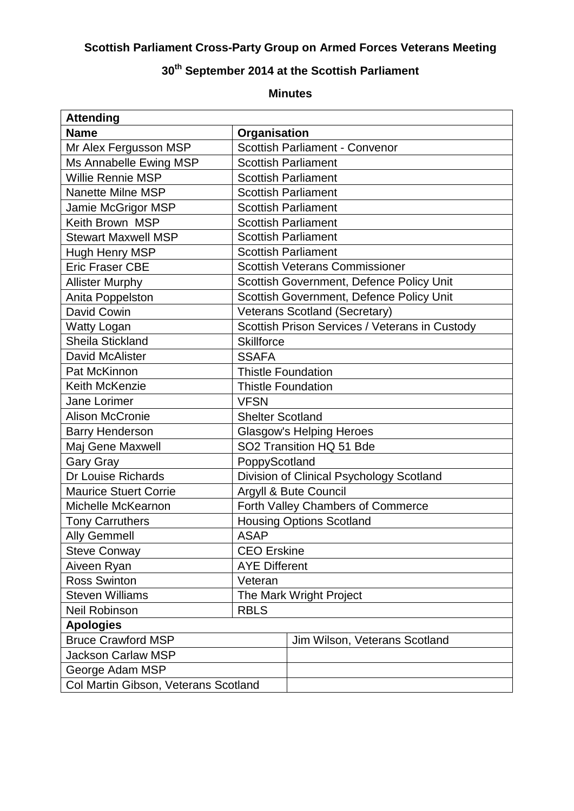## **Scottish Parliament Cross-Party Group on Armed Forces Veterans Meeting**

## **30 th September 2014 at the Scottish Parliament**

**Minutes**

| <b>Attending</b>                     |                                                |                                          |  |
|--------------------------------------|------------------------------------------------|------------------------------------------|--|
| <b>Name</b>                          | Organisation                                   |                                          |  |
| Mr Alex Fergusson MSP                | <b>Scottish Parliament - Convenor</b>          |                                          |  |
| Ms Annabelle Ewing MSP               | <b>Scottish Parliament</b>                     |                                          |  |
| <b>Willie Rennie MSP</b>             | <b>Scottish Parliament</b>                     |                                          |  |
| <b>Nanette Milne MSP</b>             | <b>Scottish Parliament</b>                     |                                          |  |
| Jamie McGrigor MSP                   | <b>Scottish Parliament</b>                     |                                          |  |
| Keith Brown MSP                      | <b>Scottish Parliament</b>                     |                                          |  |
| <b>Stewart Maxwell MSP</b>           | <b>Scottish Parliament</b>                     |                                          |  |
| Hugh Henry MSP                       | <b>Scottish Parliament</b>                     |                                          |  |
| <b>Eric Fraser CBE</b>               | <b>Scottish Veterans Commissioner</b>          |                                          |  |
| <b>Allister Murphy</b>               | Scottish Government, Defence Policy Unit       |                                          |  |
| Anita Poppelston                     |                                                | Scottish Government, Defence Policy Unit |  |
| <b>David Cowin</b>                   | Veterans Scotland (Secretary)                  |                                          |  |
| <b>Watty Logan</b>                   | Scottish Prison Services / Veterans in Custody |                                          |  |
| Sheila Stickland                     | <b>Skillforce</b>                              |                                          |  |
| <b>David McAlister</b>               | <b>SSAFA</b>                                   |                                          |  |
| Pat McKinnon                         | <b>Thistle Foundation</b>                      |                                          |  |
| <b>Keith McKenzie</b>                | <b>Thistle Foundation</b>                      |                                          |  |
| <b>Jane Lorimer</b>                  | <b>VFSN</b>                                    |                                          |  |
| <b>Alison McCronie</b>               | <b>Shelter Scotland</b>                        |                                          |  |
| <b>Barry Henderson</b>               | Glasgow's Helping Heroes                       |                                          |  |
| Maj Gene Maxwell                     | SO2 Transition HQ 51 Bde                       |                                          |  |
| <b>Gary Gray</b>                     | PoppyScotland                                  |                                          |  |
| Dr Louise Richards                   | Division of Clinical Psychology Scotland       |                                          |  |
| <b>Maurice Stuert Corrie</b>         | Argyll & Bute Council                          |                                          |  |
| Michelle McKearnon                   | Forth Valley Chambers of Commerce              |                                          |  |
| <b>Tony Carruthers</b>               | <b>Housing Options Scotland</b>                |                                          |  |
| <b>Ally Gemmell</b>                  | <b>ASAP</b>                                    |                                          |  |
| Steve Conway                         | <b>CEO</b> Erskine                             |                                          |  |
| Aiveen Ryan                          | <b>AYE Different</b>                           |                                          |  |
| <b>Ross Swinton</b>                  | Veteran                                        |                                          |  |
| <b>Steven Williams</b>               | The Mark Wright Project                        |                                          |  |
| <b>Neil Robinson</b>                 | <b>RBLS</b>                                    |                                          |  |
| <b>Apologies</b>                     |                                                |                                          |  |
| <b>Bruce Crawford MSP</b>            |                                                | Jim Wilson, Veterans Scotland            |  |
| Jackson Carlaw MSP                   |                                                |                                          |  |
| George Adam MSP                      |                                                |                                          |  |
| Col Martin Gibson, Veterans Scotland |                                                |                                          |  |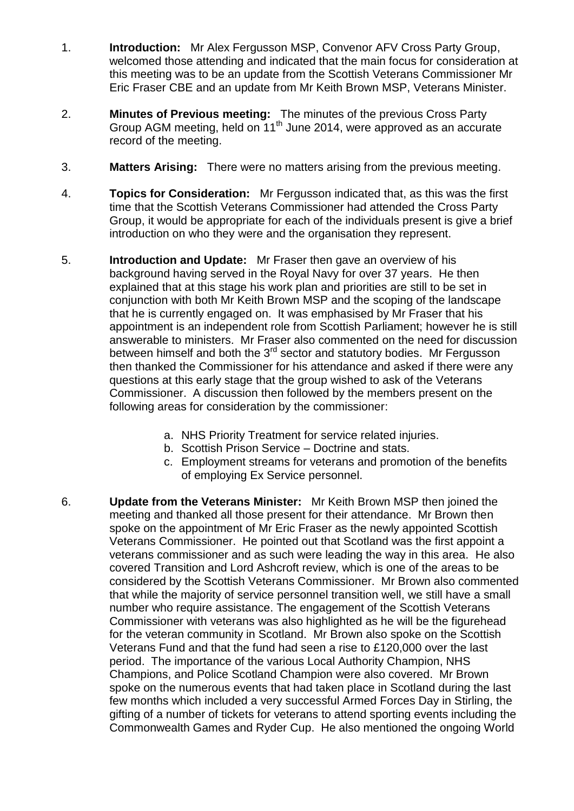- 1. **Introduction:** Mr Alex Fergusson MSP, Convenor AFV Cross Party Group, welcomed those attending and indicated that the main focus for consideration at this meeting was to be an update from the Scottish Veterans Commissioner Mr Eric Fraser CBE and an update from Mr Keith Brown MSP, Veterans Minister.
- 2. **Minutes of Previous meeting:** The minutes of the previous Cross Party Group AGM meeting, held on 11<sup>th</sup> June 2014, were approved as an accurate record of the meeting.
- 3. **Matters Arising:** There were no matters arising from the previous meeting.
- 4. **Topics for Consideration:** Mr Fergusson indicated that, as this was the first time that the Scottish Veterans Commissioner had attended the Cross Party Group, it would be appropriate for each of the individuals present is give a brief introduction on who they were and the organisation they represent.
- 5. **Introduction and Update:** Mr Fraser then gave an overview of his background having served in the Royal Navy for over 37 years. He then explained that at this stage his work plan and priorities are still to be set in conjunction with both Mr Keith Brown MSP and the scoping of the landscape that he is currently engaged on. It was emphasised by Mr Fraser that his appointment is an independent role from Scottish Parliament; however he is still answerable to ministers. Mr Fraser also commented on the need for discussion between himself and both the 3<sup>rd</sup> sector and statutory bodies. Mr Fergusson then thanked the Commissioner for his attendance and asked if there were any questions at this early stage that the group wished to ask of the Veterans Commissioner. A discussion then followed by the members present on the following areas for consideration by the commissioner:
	- a. NHS Priority Treatment for service related injuries.
	- b. Scottish Prison Service Doctrine and stats.
	- c. Employment streams for veterans and promotion of the benefits of employing Ex Service personnel.
- 6. **Update from the Veterans Minister:** Mr Keith Brown MSP then joined the meeting and thanked all those present for their attendance. Mr Brown then spoke on the appointment of Mr Eric Fraser as the newly appointed Scottish Veterans Commissioner. He pointed out that Scotland was the first appoint a veterans commissioner and as such were leading the way in this area. He also covered Transition and Lord Ashcroft review, which is one of the areas to be considered by the Scottish Veterans Commissioner. Mr Brown also commented that while the majority of service personnel transition well, we still have a small number who require assistance. The engagement of the Scottish Veterans Commissioner with veterans was also highlighted as he will be the figurehead for the veteran community in Scotland. Mr Brown also spoke on the Scottish Veterans Fund and that the fund had seen a rise to £120,000 over the last period. The importance of the various Local Authority Champion, NHS Champions, and Police Scotland Champion were also covered. Mr Brown spoke on the numerous events that had taken place in Scotland during the last few months which included a very successful Armed Forces Day in Stirling, the gifting of a number of tickets for veterans to attend sporting events including the Commonwealth Games and Ryder Cup. He also mentioned the ongoing World